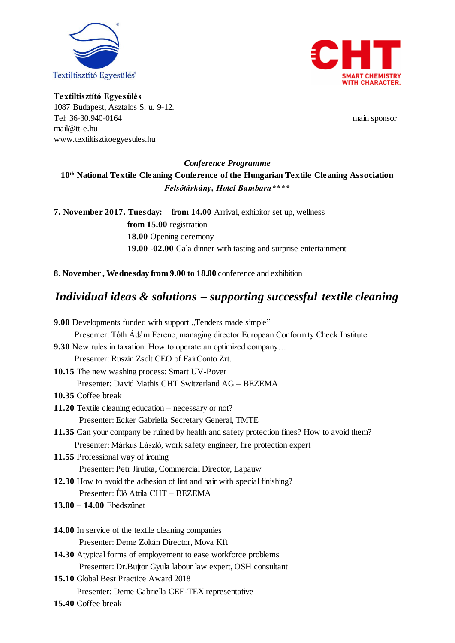



**Textiltisztító Egyesülés** 1087 Budapest, Asztalos S. u. 9-12. Tel: 36-30.940-0164 main sponsor [mail@tt-e.hu](mailto:mail@tt-e.hu) [www.textiltisztitoegyesules.hu](http://www.textiltisztitoegyesules.hu/)

# *Conference Programme* **10th National Textile Cleaning Conference of the Hungarian Textile Cleaning Association** *Felsőtárkány, Hotel Bambara\*\*\*\**

**7. November 2017. Tuesday: from 14.00** Arrival, exhibitor set up, wellness **from 15.00** registration **18.00** Opening ceremony **19.00 -02.00** Gala dinner with tasting and surprise entertainment

**8. November , Wednesday from 9.00 to 18.00** conference and exhibition

# *Individual ideas & solutions – supporting successful textile cleaning*

| 9.00 Developments funded with support "Tenders made simple"                                |
|--------------------------------------------------------------------------------------------|
| Presenter: Tóth Ádám Ferenc, managing director European Conformity Check Institute         |
| <b>9.30</b> New rules in taxation. How to operate an optimized company                     |
| Presenter: Ruszin Zsolt CEO of FairConto Zrt.                                              |
| 10.15 The new washing process: Smart UV-Pover                                              |
| Presenter: David Mathis CHT Switzerland AG - BEZEMA                                        |
| 10.35 Coffee break                                                                         |
| 11.20 Textile cleaning education $-$ necessary or not?                                     |
| Presenter: Ecker Gabriella Secretary General, TMTE                                         |
| 11.35 Can your company be ruined by health and safety protection fines? How to avoid them? |
| Presenter: Márkus László, work safety engineer, fire protection expert                     |
| 11.55 Professional way of ironing                                                          |
| Presenter: Petr Jirutka, Commercial Director, Lapauw                                       |
| 12.30 How to avoid the adhesion of lint and hair with special finishing?                   |
| Presenter: Élő Attila CHT - BEZEMA                                                         |
| 13.00 - 14.00 Ebédszünet                                                                   |
|                                                                                            |
| 14.00 In service of the textile cleaning companies                                         |
| Presenter: Deme Zoltán Director, Mova Kft                                                  |
| 14.30 Atypical forms of employement to ease workforce problems                             |
| Presenter: Dr.Bujtor Gyula labour law expert, OSH consultant                               |
| 15.10 Global Best Practice Award 2018                                                      |
| Presenter: Deme Gabriella CEE-TEX representative                                           |
| 15.40 Coffee break                                                                         |
|                                                                                            |